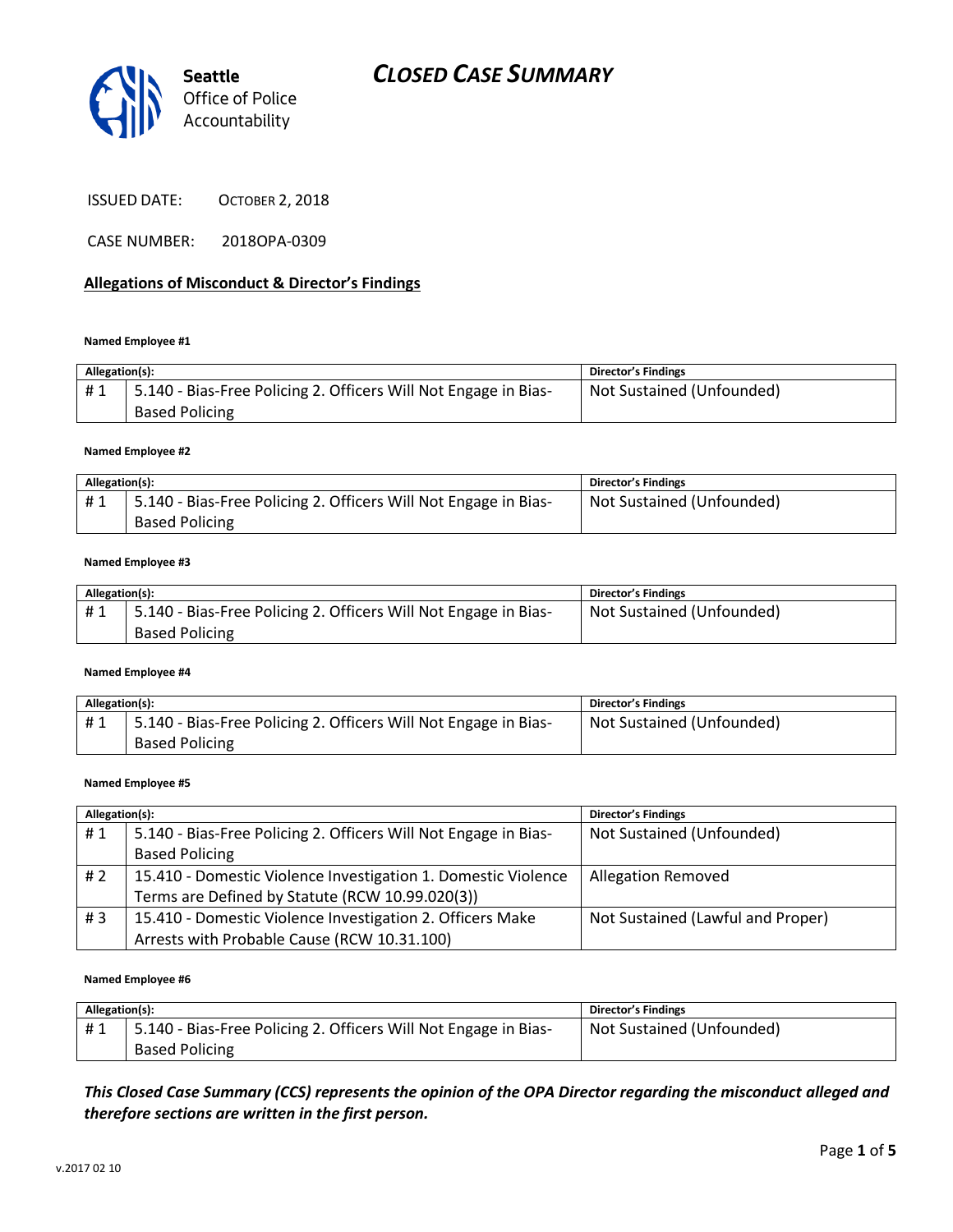

ISSUED DATE: OCTOBER 2, 2018

CASE NUMBER: 2018OPA-0309

#### **Allegations of Misconduct & Director's Findings**

#### **Named Employee #1**

| Allegation(s): |                                                                                          | <b>Director's Findings</b> |
|----------------|------------------------------------------------------------------------------------------|----------------------------|
| #1             | 5.140 - Bias-Free Policing 2. Officers Will Not Engage in Bias-<br><b>Based Policing</b> | Not Sustained (Unfounded)  |

#### **Named Employee #2**

| Allegation(s): |                                                                 | Director's Findings       |
|----------------|-----------------------------------------------------------------|---------------------------|
| #1             | 5.140 - Bias-Free Policing 2. Officers Will Not Engage in Bias- | Not Sustained (Unfounded) |
|                | <b>Based Policing</b>                                           |                           |

#### **Named Employee #3**

| Allegation(s): |                                                                 | <b>Director's Findings</b> |
|----------------|-----------------------------------------------------------------|----------------------------|
| #1             | 5.140 - Bias-Free Policing 2. Officers Will Not Engage in Bias- | Not Sustained (Unfounded)  |
|                | <b>Based Policing</b>                                           |                            |

#### **Named Employee #4**

| Allegation(s): |                                                                 | Director's Findings       |
|----------------|-----------------------------------------------------------------|---------------------------|
| #1             | 5.140 - Bias-Free Policing 2. Officers Will Not Engage in Bias- | Not Sustained (Unfounded) |
|                | <b>Based Policing</b>                                           |                           |

#### **Named Employee #5**

| Allegation(s): |                                                                 | <b>Director's Findings</b>        |
|----------------|-----------------------------------------------------------------|-----------------------------------|
| #1             | 5.140 - Bias-Free Policing 2. Officers Will Not Engage in Bias- | Not Sustained (Unfounded)         |
|                | <b>Based Policing</b>                                           |                                   |
| #2             | 15.410 - Domestic Violence Investigation 1. Domestic Violence   | <b>Allegation Removed</b>         |
|                | Terms are Defined by Statute (RCW 10.99.020(3))                 |                                   |
| #3             | 15.410 - Domestic Violence Investigation 2. Officers Make       | Not Sustained (Lawful and Proper) |
|                | Arrests with Probable Cause (RCW 10.31.100)                     |                                   |

#### **Named Employee #6**

| Allegation(s): |                                                                 | Director's Findings       |
|----------------|-----------------------------------------------------------------|---------------------------|
| #1             | 5.140 - Bias-Free Policing 2. Officers Will Not Engage in Bias- | Not Sustained (Unfounded) |
|                | <b>Based Policing</b>                                           |                           |

*This Closed Case Summary (CCS) represents the opinion of the OPA Director regarding the misconduct alleged and therefore sections are written in the first person.*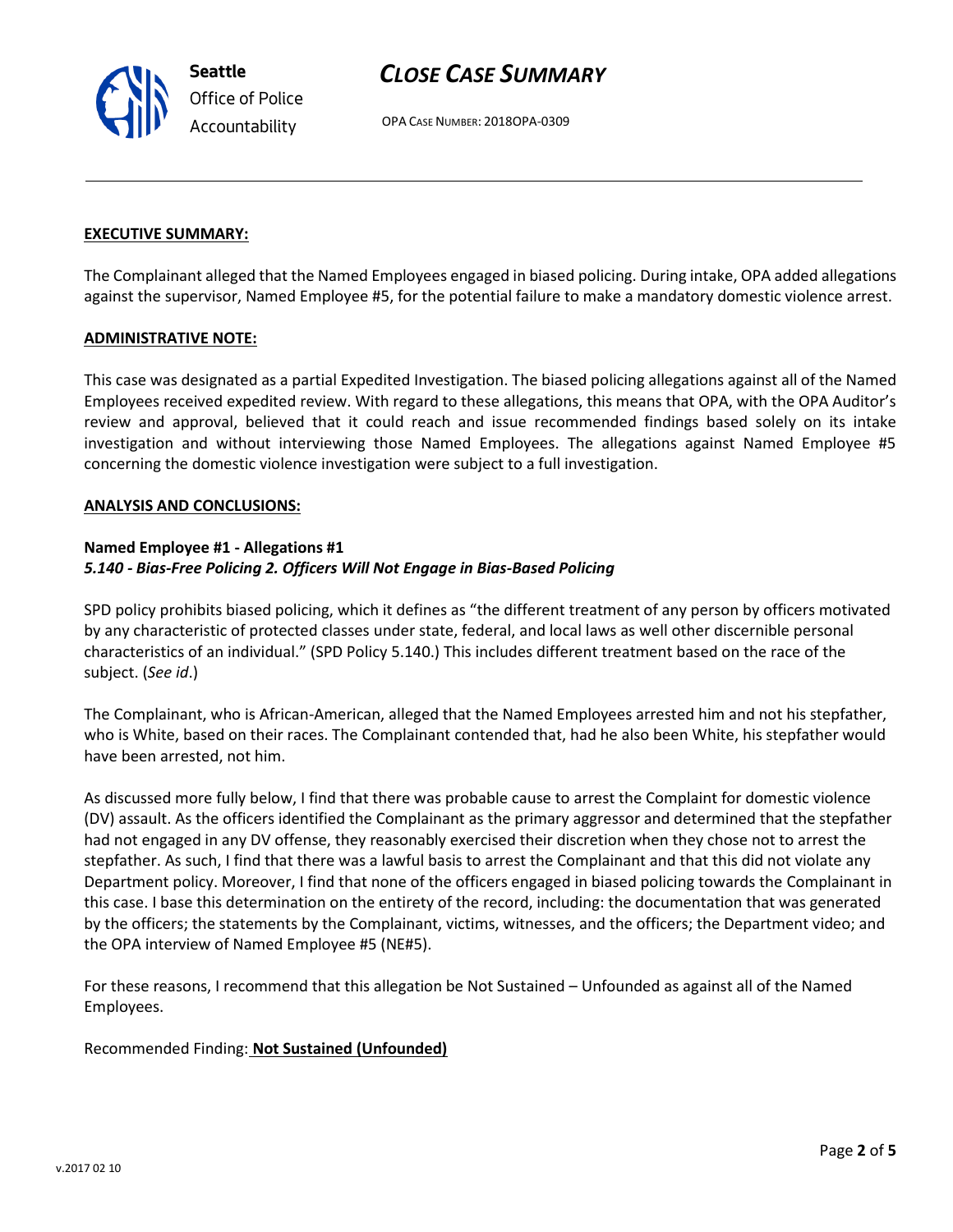OPA CASE NUMBER: 2018OPA-0309

#### **EXECUTIVE SUMMARY:**

**Seattle**

*Office of Police Accountability*

The Complainant alleged that the Named Employees engaged in biased policing. During intake, OPA added allegations against the supervisor, Named Employee #5, for the potential failure to make a mandatory domestic violence arrest.

#### **ADMINISTRATIVE NOTE:**

This case was designated as a partial Expedited Investigation. The biased policing allegations against all of the Named Employees received expedited review. With regard to these allegations, this means that OPA, with the OPA Auditor's review and approval, believed that it could reach and issue recommended findings based solely on its intake investigation and without interviewing those Named Employees. The allegations against Named Employee #5 concerning the domestic violence investigation were subject to a full investigation.

#### **ANALYSIS AND CONCLUSIONS:**

#### **Named Employee #1 - Allegations #1** *5.140 - Bias-Free Policing 2. Officers Will Not Engage in Bias-Based Policing*

SPD policy prohibits biased policing, which it defines as "the different treatment of any person by officers motivated by any characteristic of protected classes under state, federal, and local laws as well other discernible personal characteristics of an individual." (SPD Policy 5.140.) This includes different treatment based on the race of the subject. (*See id*.)

The Complainant, who is African-American, alleged that the Named Employees arrested him and not his stepfather, who is White, based on their races. The Complainant contended that, had he also been White, his stepfather would have been arrested, not him.

As discussed more fully below, I find that there was probable cause to arrest the Complaint for domestic violence (DV) assault. As the officers identified the Complainant as the primary aggressor and determined that the stepfather had not engaged in any DV offense, they reasonably exercised their discretion when they chose not to arrest the stepfather. As such, I find that there was a lawful basis to arrest the Complainant and that this did not violate any Department policy. Moreover, I find that none of the officers engaged in biased policing towards the Complainant in this case. I base this determination on the entirety of the record, including: the documentation that was generated by the officers; the statements by the Complainant, victims, witnesses, and the officers; the Department video; and the OPA interview of Named Employee #5 (NE#5).

For these reasons, I recommend that this allegation be Not Sustained – Unfounded as against all of the Named Employees.

Recommended Finding: **Not Sustained (Unfounded)**

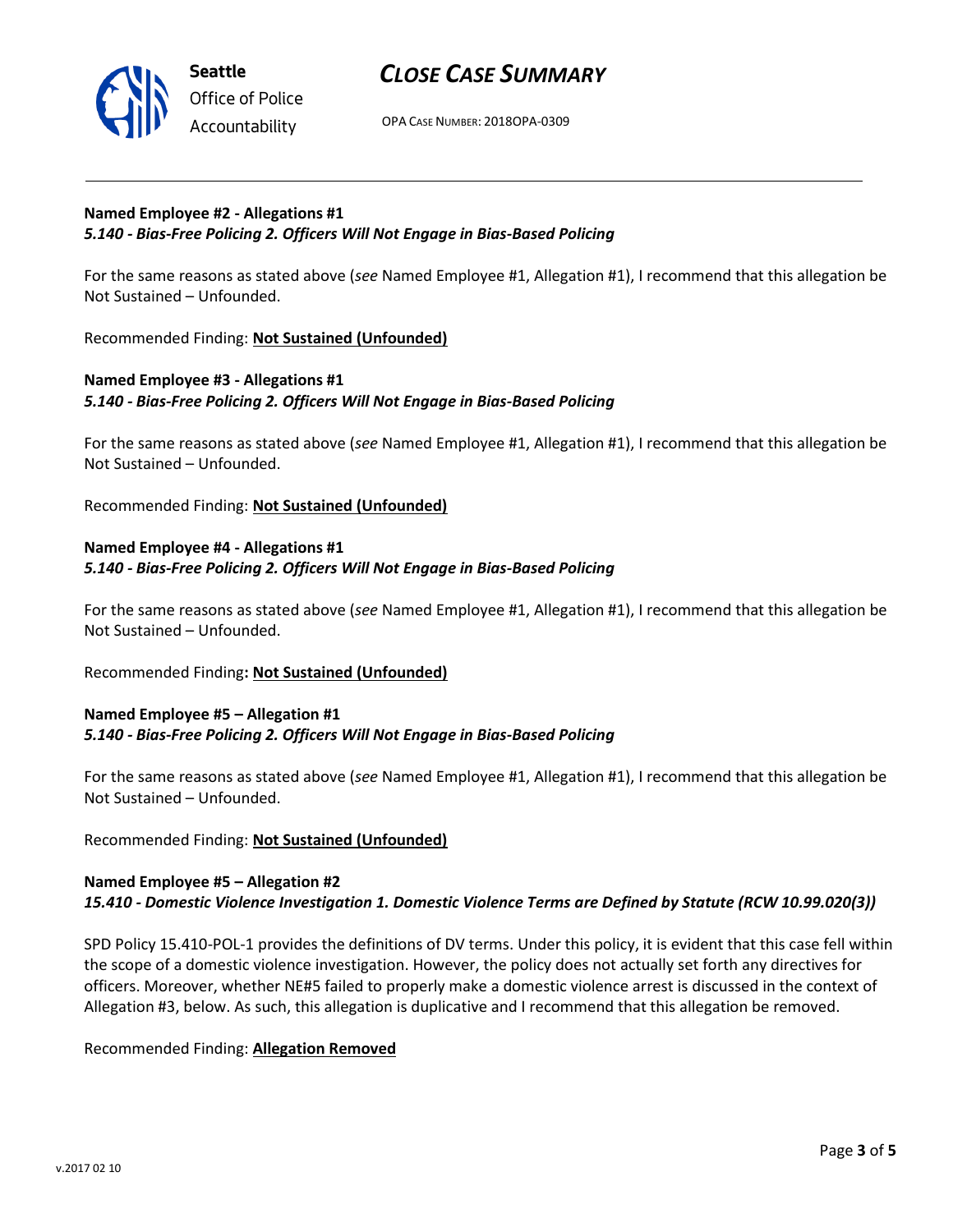

OPA CASE NUMBER: 2018OPA-0309

#### **Named Employee #2 - Allegations #1** *5.140 - Bias-Free Policing 2. Officers Will Not Engage in Bias-Based Policing*

For the same reasons as stated above (*see* Named Employee #1, Allegation #1), I recommend that this allegation be Not Sustained – Unfounded.

Recommended Finding: **Not Sustained (Unfounded)**

## **Named Employee #3 - Allegations #1** *5.140 - Bias-Free Policing 2. Officers Will Not Engage in Bias-Based Policing*

For the same reasons as stated above (*see* Named Employee #1, Allegation #1), I recommend that this allegation be Not Sustained – Unfounded.

Recommended Finding: **Not Sustained (Unfounded)**

## **Named Employee #4 - Allegations #1** *5.140 - Bias-Free Policing 2. Officers Will Not Engage in Bias-Based Policing*

For the same reasons as stated above (*see* Named Employee #1, Allegation #1), I recommend that this allegation be Not Sustained – Unfounded.

Recommended Finding**: Not Sustained (Unfounded)**

#### **Named Employee #5 – Allegation #1** *5.140 - Bias-Free Policing 2. Officers Will Not Engage in Bias-Based Policing*

For the same reasons as stated above (*see* Named Employee #1, Allegation #1), I recommend that this allegation be Not Sustained – Unfounded.

### Recommended Finding: **Not Sustained (Unfounded)**

### **Named Employee #5 – Allegation #2** *15.410 - Domestic Violence Investigation 1. Domestic Violence Terms are Defined by Statute (RCW 10.99.020(3))*

SPD Policy 15.410-POL-1 provides the definitions of DV terms. Under this policy, it is evident that this case fell within the scope of a domestic violence investigation. However, the policy does not actually set forth any directives for officers. Moreover, whether NE#5 failed to properly make a domestic violence arrest is discussed in the context of Allegation #3, below. As such, this allegation is duplicative and I recommend that this allegation be removed.

Recommended Finding: **Allegation Removed**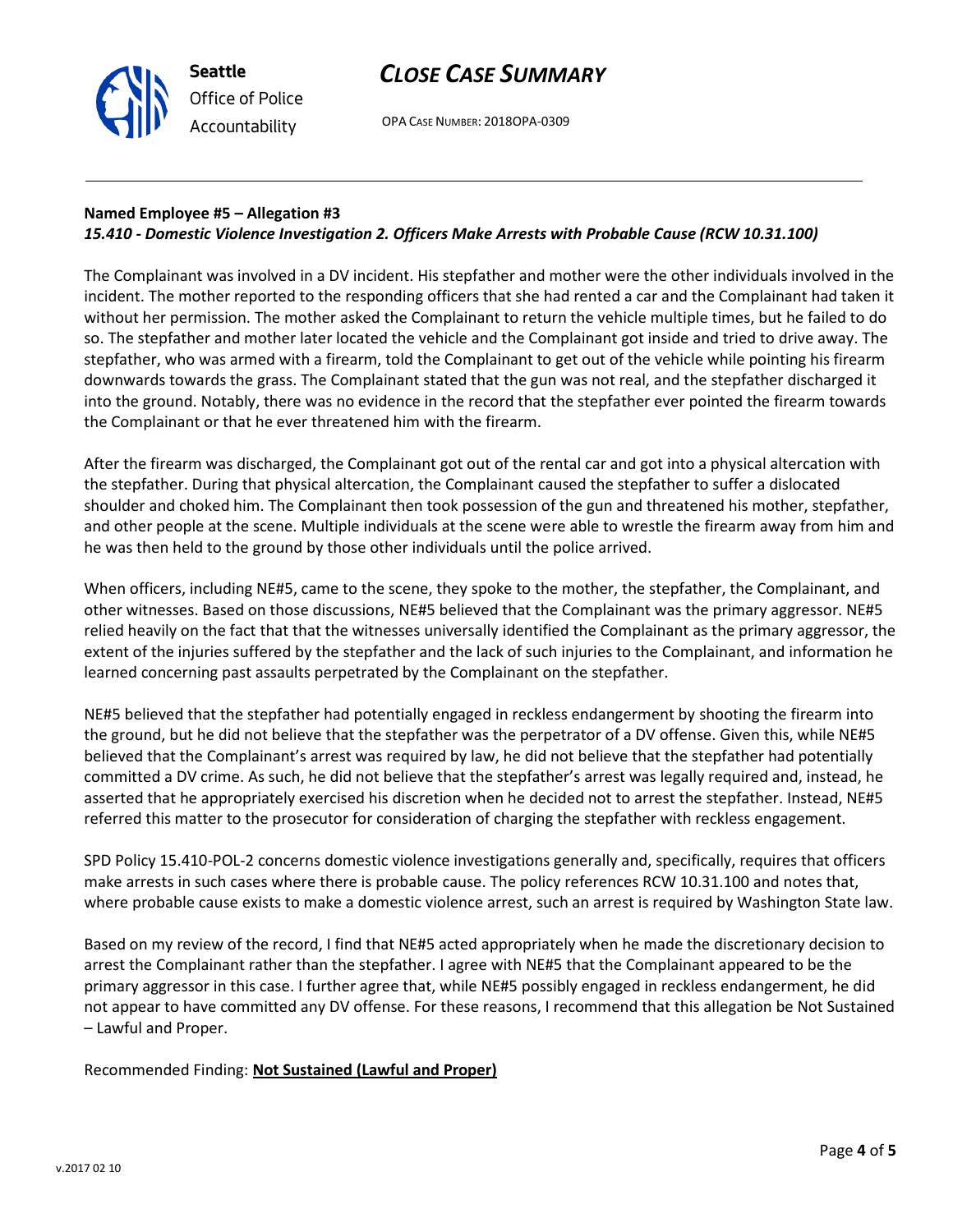

OPA CASE NUMBER: 2018OPA-0309

## **Named Employee #5 – Allegation #3**

## *15.410 - Domestic Violence Investigation 2. Officers Make Arrests with Probable Cause (RCW 10.31.100)*

The Complainant was involved in a DV incident. His stepfather and mother were the other individuals involved in the incident. The mother reported to the responding officers that she had rented a car and the Complainant had taken it without her permission. The mother asked the Complainant to return the vehicle multiple times, but he failed to do so. The stepfather and mother later located the vehicle and the Complainant got inside and tried to drive away. The stepfather, who was armed with a firearm, told the Complainant to get out of the vehicle while pointing his firearm downwards towards the grass. The Complainant stated that the gun was not real, and the stepfather discharged it into the ground. Notably, there was no evidence in the record that the stepfather ever pointed the firearm towards the Complainant or that he ever threatened him with the firearm.

After the firearm was discharged, the Complainant got out of the rental car and got into a physical altercation with the stepfather. During that physical altercation, the Complainant caused the stepfather to suffer a dislocated shoulder and choked him. The Complainant then took possession of the gun and threatened his mother, stepfather, and other people at the scene. Multiple individuals at the scene were able to wrestle the firearm away from him and he was then held to the ground by those other individuals until the police arrived.

When officers, including NE#5, came to the scene, they spoke to the mother, the stepfather, the Complainant, and other witnesses. Based on those discussions, NE#5 believed that the Complainant was the primary aggressor. NE#5 relied heavily on the fact that that the witnesses universally identified the Complainant as the primary aggressor, the extent of the injuries suffered by the stepfather and the lack of such injuries to the Complainant, and information he learned concerning past assaults perpetrated by the Complainant on the stepfather.

NE#5 believed that the stepfather had potentially engaged in reckless endangerment by shooting the firearm into the ground, but he did not believe that the stepfather was the perpetrator of a DV offense. Given this, while NE#5 believed that the Complainant's arrest was required by law, he did not believe that the stepfather had potentially committed a DV crime. As such, he did not believe that the stepfather's arrest was legally required and, instead, he asserted that he appropriately exercised his discretion when he decided not to arrest the stepfather. Instead, NE#5 referred this matter to the prosecutor for consideration of charging the stepfather with reckless engagement.

SPD Policy 15.410-POL-2 concerns domestic violence investigations generally and, specifically, requires that officers make arrests in such cases where there is probable cause. The policy references RCW 10.31.100 and notes that, where probable cause exists to make a domestic violence arrest, such an arrest is required by Washington State law.

Based on my review of the record, I find that NE#5 acted appropriately when he made the discretionary decision to arrest the Complainant rather than the stepfather. I agree with NE#5 that the Complainant appeared to be the primary aggressor in this case. I further agree that, while NE#5 possibly engaged in reckless endangerment, he did not appear to have committed any DV offense. For these reasons, I recommend that this allegation be Not Sustained – Lawful and Proper.

Recommended Finding: **Not Sustained (Lawful and Proper)**